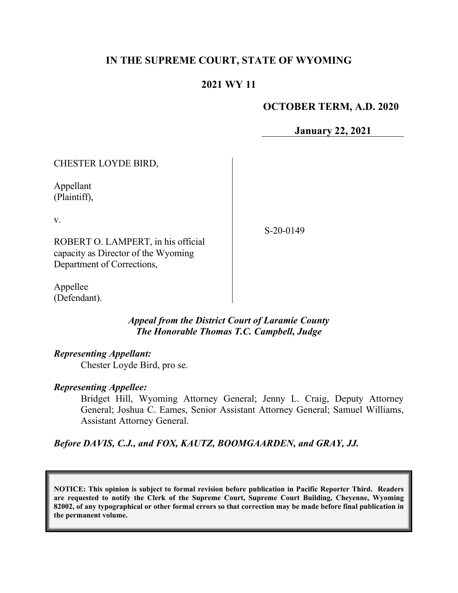# **IN THE SUPREME COURT, STATE OF WYOMING**

# **2021 WY 11**

### **OCTOBER TERM, A.D. 2020**

**January 22, 2021**

| CHESTER LOYDE BIRD,                                                                                           |          |
|---------------------------------------------------------------------------------------------------------------|----------|
| Appellant<br>(Plaintiff),                                                                                     |          |
| V.<br>ROBERT O. LAMPERT, in his official<br>capacity as Director of the Wyoming<br>Department of Corrections, | S-20-014 |
| Appellee                                                                                                      |          |

*Appeal from the District Court of Laramie County The Honorable Thomas T.C. Campbell, Judge*

#### *Representing Appellant:*

(Defendant).

Chester Loyde Bird, pro se.

#### *Representing Appellee:*

Bridget Hill, Wyoming Attorney General; Jenny L. Craig, Deputy Attorney General; Joshua C. Eames, Senior Assistant Attorney General; Samuel Williams, Assistant Attorney General.

*Before DAVIS, C.J., and FOX, KAUTZ, BOOMGAARDEN, and GRAY, JJ.*

**NOTICE: This opinion is subject to formal revision before publication in Pacific Reporter Third. Readers are requested to notify the Clerk of the Supreme Court, Supreme Court Building, Cheyenne, Wyoming 82002, of any typographical or other formal errors so that correction may be made before final publication in the permanent volume.**

 $9-$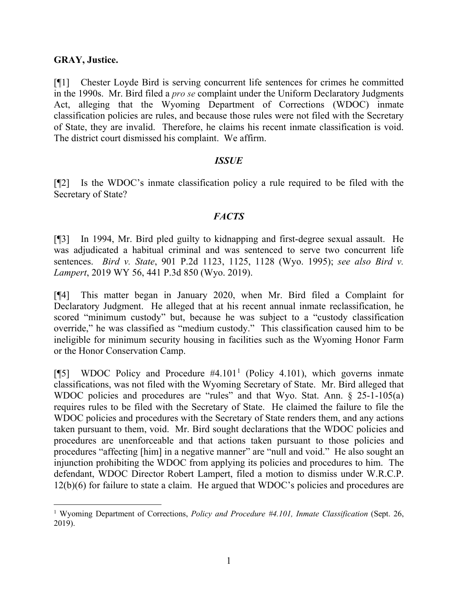### **GRAY, Justice.**

[¶1] Chester Loyde Bird is serving concurrent life sentences for crimes he committed in the 1990s. Mr. Bird filed a *pro se* complaint under the Uniform Declaratory Judgments Act, alleging that the Wyoming Department of Corrections (WDOC) inmate classification policies are rules, and because those rules were not filed with the Secretary of State, they are invalid. Therefore, he claims his recent inmate classification is void. The district court dismissed his complaint. We affirm.

#### *ISSUE*

[¶2] Is the WDOC's inmate classification policy a rule required to be filed with the Secretary of State?

### *FACTS*

[¶3] In 1994, Mr. Bird pled guilty to kidnapping and first-degree sexual assault. He was adjudicated a habitual criminal and was sentenced to serve two concurrent life sentences. *Bird v. State*, 901 P.2d 1123, 1125, 1128 (Wyo. 1995); *see also Bird v. Lampert*, 2019 WY 56, 441 P.3d 850 (Wyo. 2019).

[¶4] This matter began in January 2020, when Mr. Bird filed a Complaint for Declaratory Judgment. He alleged that at his recent annual inmate reclassification, he scored "minimum custody" but, because he was subject to a "custody classification override," he was classified as "medium custody." This classification caused him to be ineligible for minimum security housing in facilities such as the Wyoming Honor Farm or the Honor Conservation Camp.

[ $[$ 5] WDOC Policy and Procedure #4.[1](#page-1-0)01<sup>1</sup> (Policy 4.101), which governs inmate classifications, was not filed with the Wyoming Secretary of State. Mr. Bird alleged that WDOC policies and procedures are "rules" and that Wyo. Stat. Ann. § 25-1-105(a) requires rules to be filed with the Secretary of State. He claimed the failure to file the WDOC policies and procedures with the Secretary of State renders them, and any actions taken pursuant to them, void. Mr. Bird sought declarations that the WDOC policies and procedures are unenforceable and that actions taken pursuant to those policies and procedures "affecting [him] in a negative manner" are "null and void." He also sought an injunction prohibiting the WDOC from applying its policies and procedures to him. The defendant, WDOC Director Robert Lampert, filed a motion to dismiss under W.R.C.P. 12(b)(6) for failure to state a claim. He argued that WDOC's policies and procedures are

<span id="page-1-0"></span><sup>1</sup> Wyoming Department of Corrections, *Policy and Procedure #4.101, Inmate Classification* (Sept. 26, 2019).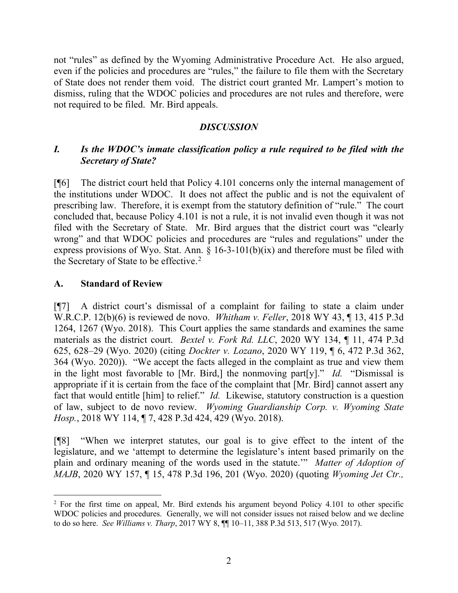not "rules" as defined by the Wyoming Administrative Procedure Act. He also argued, even if the policies and procedures are "rules," the failure to file them with the Secretary of State does not render them void. The district court granted Mr. Lampert's motion to dismiss, ruling that the WDOC policies and procedures are not rules and therefore, were not required to be filed. Mr. Bird appeals.

## *DISCUSSION*

# *I. Is the WDOC's inmate classification policy a rule required to be filed with the Secretary of State?*

[¶6] The district court held that Policy 4.101 concerns only the internal management of the institutions under WDOC. It does not affect the public and is not the equivalent of prescribing law. Therefore, it is exempt from the statutory definition of "rule." The court concluded that, because Policy 4.101 is not a rule, it is not invalid even though it was not filed with the Secretary of State. Mr. Bird argues that the district court was "clearly wrong" and that WDOC policies and procedures are "rules and regulations" under the express provisions of Wyo. Stat. Ann.  $\S$  16-3-101(b)(ix) and therefore must be filed with the Secretary of State to be effective.<sup>[2](#page-2-0)</sup>

## **A. Standard of Review**

[¶7] A district court's dismissal of a complaint for failing to state a claim under W.R.C.P. 12(b)(6) is reviewed de novo. *Whitham v. Feller*, 2018 WY 43, ¶ 13, 415 P.3d 1264, 1267 (Wyo. 2018). This Court applies the same standards and examines the same materials as the district court. *Bextel v. Fork Rd. LLC*, 2020 WY 134, ¶ 11, 474 P.3d 625, 628–29 (Wyo. 2020) (citing *Dockter v. Lozano*, 2020 WY 119, ¶ 6, 472 P.3d 362, 364 (Wyo. 2020)). "We accept the facts alleged in the complaint as true and view them in the light most favorable to [Mr. Bird,] the nonmoving part[y]." *Id.* "Dismissal is appropriate if it is certain from the face of the complaint that [Mr. Bird] cannot assert any fact that would entitle [him] to relief." *Id.* Likewise, statutory construction is a question of law, subject to de novo review. *Wyoming Guardianship Corp. v. Wyoming State Hosp.*, 2018 WY 114, ¶ 7, 428 P.3d 424, 429 (Wyo. 2018).

[¶8] "When we interpret statutes, our goal is to give effect to the intent of the legislature, and we 'attempt to determine the legislature's intent based primarily on the plain and ordinary meaning of the words used in the statute.'" *Matter of Adoption of MAJB*, 2020 WY 157, ¶ 15, 478 P.3d 196, 201 (Wyo. 2020) (quoting *Wyoming Jet Ctr.,* 

<span id="page-2-0"></span><sup>&</sup>lt;sup>2</sup> For the first time on appeal, Mr. Bird extends his argument beyond Policy 4.101 to other specific WDOC policies and procedures. Generally, we will not consider issues not raised below and we decline to do so here. *See Williams v. Tharp*, 2017 WY 8, ¶¶ 10–11, 388 P.3d 513, 517 (Wyo. 2017).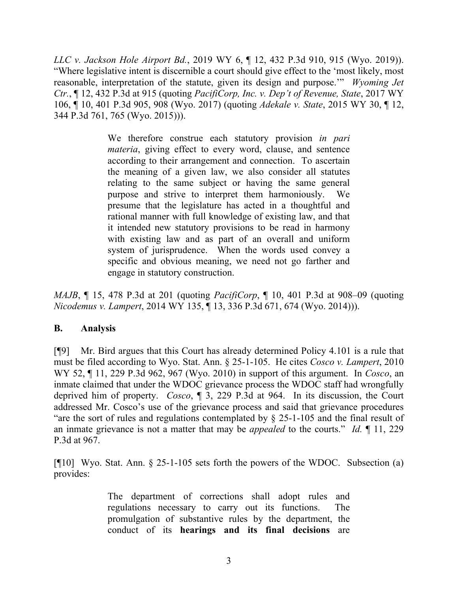*LLC v. Jackson Hole Airport Bd.*, 2019 WY 6, ¶ 12, 432 P.3d 910, 915 (Wyo. 2019)). "Where legislative intent is discernible a court should give effect to the 'most likely, most reasonable, interpretation of the statute, given its design and purpose.'" *Wyoming Jet Ctr.*, ¶ 12, 432 P.3d at 915 (quoting *PacifiCorp, Inc. v. Dep't of Revenue, State*, 2017 WY 106, ¶ 10, 401 P.3d 905, 908 (Wyo. 2017) (quoting *Adekale v. State*, 2015 WY 30, ¶ 12, 344 P.3d 761, 765 (Wyo. 2015))).

> We therefore construe each statutory provision *in pari materia*, giving effect to every word, clause, and sentence according to their arrangement and connection. To ascertain the meaning of a given law, we also consider all statutes relating to the same subject or having the same general purpose and strive to interpret them harmoniously. We presume that the legislature has acted in a thoughtful and rational manner with full knowledge of existing law, and that it intended new statutory provisions to be read in harmony with existing law and as part of an overall and uniform system of jurisprudence. When the words used convey a specific and obvious meaning, we need not go farther and engage in statutory construction.

*MAJB*, ¶ 15, 478 P.3d at 201 (quoting *PacifiCorp*, ¶ 10, 401 P.3d at 908–09 (quoting *Nicodemus v. Lampert*, 2014 WY 135, ¶ 13, 336 P.3d 671, 674 (Wyo. 2014))).

## **B. Analysis**

[¶9] Mr. Bird argues that this Court has already determined Policy 4.101 is a rule that must be filed according to Wyo. Stat. Ann. § 25-1-105. He cites *Cosco v. Lampert*, 2010 WY 52, ¶ 11, 229 P.3d 962, 967 (Wyo. 2010) in support of this argument. In *Cosco*, an inmate claimed that under the WDOC grievance process the WDOC staff had wrongfully deprived him of property. *Cosco*, ¶ 3, 229 P.3d at 964. In its discussion, the Court addressed Mr. Cosco's use of the grievance process and said that grievance procedures "are the sort of rules and regulations contemplated by § 25-1-105 and the final result of an inmate grievance is not a matter that may be *appealed* to the courts." *Id.* ¶ 11, 229 P.3d at 967.

[¶10] Wyo. Stat. Ann. § 25-1-105 sets forth the powers of the WDOC. Subsection (a) provides:

> The department of corrections shall adopt rules and regulations necessary to carry out its functions. The promulgation of substantive rules by the department, the conduct of its **hearings and its final decisions** are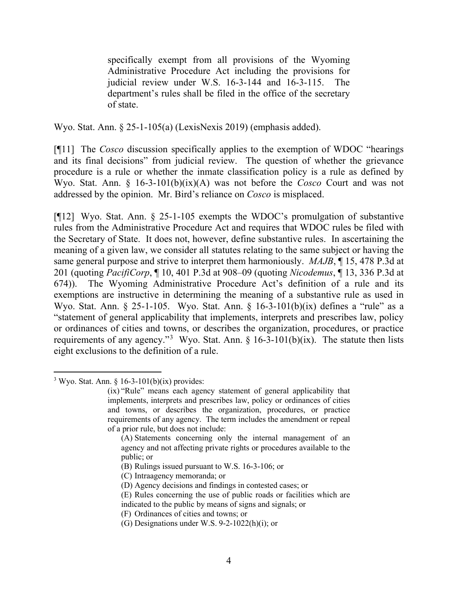specifically exempt from all provisions of the Wyoming Administrative Procedure Act including the provisions for judicial review under W.S. 16-3-144 and 16-3-115. The department's rules shall be filed in the office of the secretary of state.

Wyo. Stat. Ann. § 25-1-105(a) (LexisNexis 2019) (emphasis added).

[¶11] The *Cosco* discussion specifically applies to the exemption of WDOC "hearings and its final decisions" from judicial review. The question of whether the grievance procedure is a rule or whether the inmate classification policy is a rule as defined by Wyo. Stat. Ann. § 16-3-101(b)(ix)(A) was not before the *Cosco* Court and was not addressed by the opinion. Mr. Bird's reliance on *Cosco* is misplaced.

[¶12] Wyo. Stat. Ann. § 25-1-105 exempts the WDOC's promulgation of substantive rules from the Administrative Procedure Act and requires that WDOC rules be filed with the Secretary of State. It does not, however, define substantive rules. In ascertaining the meaning of a given law, we consider all statutes relating to the same subject or having the same general purpose and strive to interpret them harmoniously. *MAJB*, ¶ 15, 478 P.3d at 201 (quoting *PacifiCorp*, ¶ 10, 401 P.3d at 908–09 (quoting *Nicodemus*, ¶ 13, 336 P.3d at 674)). The Wyoming Administrative Procedure Act's definition of a rule and its exemptions are instructive in determining the meaning of a substantive rule as used in Wyo. Stat. Ann. § 25-1-105. Wyo. Stat. Ann. § 16-3-101(b)(ix) defines a "rule" as a "statement of general applicability that implements, interprets and prescribes law, policy or ordinances of cities and towns, or describes the organization, procedures, or practice requirements of any agency."<sup>[3](#page-4-0)</sup> Wyo. Stat. Ann.  $\S$  16-3-101(b)(ix). The statute then lists eight exclusions to the definition of a rule.

- (A) Statements concerning only the internal management of an agency and not affecting private rights or procedures available to the public; or
- (B) Rulings issued pursuant to W.S. 16-3-106; or
- (C) Intraagency memoranda; or
- (D) Agency decisions and findings in contested cases; or
- (E) Rules concerning the use of public roads or facilities which are
- indicated to the public by means of signs and signals; or
- (F) Ordinances of cities and towns; or
- (G) Designations under W.S. 9-2-1022(h)(i); or

<span id="page-4-0"></span> $3$  Wyo. Stat. Ann. § 16-3-101(b)(ix) provides:

<sup>(</sup>ix) "Rule" means each agency statement of general applicability that implements, interprets and prescribes law, policy or ordinances of cities and towns, or describes the organization, procedures, or practice requirements of any agency. The term includes the amendment or repeal of a prior rule, but does not include: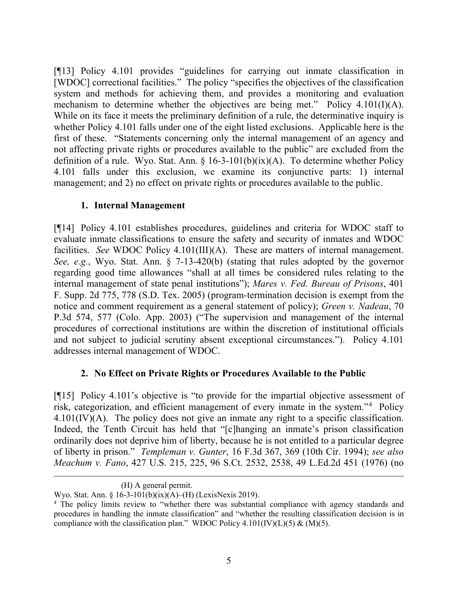[¶13] Policy 4.101 provides "guidelines for carrying out inmate classification in [WDOC] correctional facilities." The policy "specifies the objectives of the classification system and methods for achieving them, and provides a monitoring and evaluation mechanism to determine whether the objectives are being met." Policy 4.101(I)(A). While on its face it meets the preliminary definition of a rule, the determinative inquiry is whether Policy 4.101 falls under one of the eight listed exclusions. Applicable here is the first of these. "Statements concerning only the internal management of an agency and not affecting private rights or procedures available to the public" are excluded from the definition of a rule. Wyo. Stat. Ann.  $\S$  16-3-101(b)(ix)(A). To determine whether Policy 4.101 falls under this exclusion, we examine its conjunctive parts: 1) internal management; and 2) no effect on private rights or procedures available to the public.

# **1. Internal Management**

[¶14] Policy 4.101 establishes procedures, guidelines and criteria for WDOC staff to evaluate inmate classifications to ensure the safety and security of inmates and WDOC facilities. *See* WDOC Policy 4.101(III)(A). These are matters of internal management. *See, e.g.*, Wyo. Stat. Ann. § 7-13-420(b) (stating that rules adopted by the governor regarding good time allowances "shall at all times be considered rules relating to the internal management of state penal institutions"); *Mares v. Fed. Bureau of Prisons*, 401 F. Supp. 2d 775, 778 (S.D. Tex. 2005) (program-termination decision is exempt from the notice and comment requirement as a general statement of policy); *Green v. Nadeau*, 70 P.3d 574, 577 (Colo. App. 2003) ("The supervision and management of the internal procedures of correctional institutions are within the discretion of institutional officials and not subject to judicial scrutiny absent exceptional circumstances."). Policy 4.101 addresses internal management of WDOC.

# **2. No Effect on Private Rights or Procedures Available to the Public**

[¶15] Policy 4.101's objective is "to provide for the impartial objective assessment of risk, categorization, and efficient management of every inmate in the system."[4](#page-5-0) Policy 4.101(IV)(A). The policy does not give an inmate any right to a specific classification. Indeed, the Tenth Circuit has held that "[c]hanging an inmate's prison classification ordinarily does not deprive him of liberty, because he is not entitled to a particular degree of liberty in prison." *Templeman v. Gunter*, 16 F.3d 367, 369 (10th Cir. 1994); *see also Meachum v. Fano*, 427 U.S. 215, 225, 96 S.Ct. 2532, 2538, 49 L.Ed.2d 451 (1976) (no

<sup>(</sup>H) A general permit.

Wyo. Stat. Ann. § 16-3-101(b)(ix)(A)–(H) (LexisNexis 2019).

<span id="page-5-0"></span><sup>&</sup>lt;sup>4</sup> The policy limits review to "whether there was substantial compliance with agency standards and procedures in handling the inmate classification" and "whether the resulting classification decision is in compliance with the classification plan." WDOC Policy 4.101(IV)(L)(5) & (M)(5).